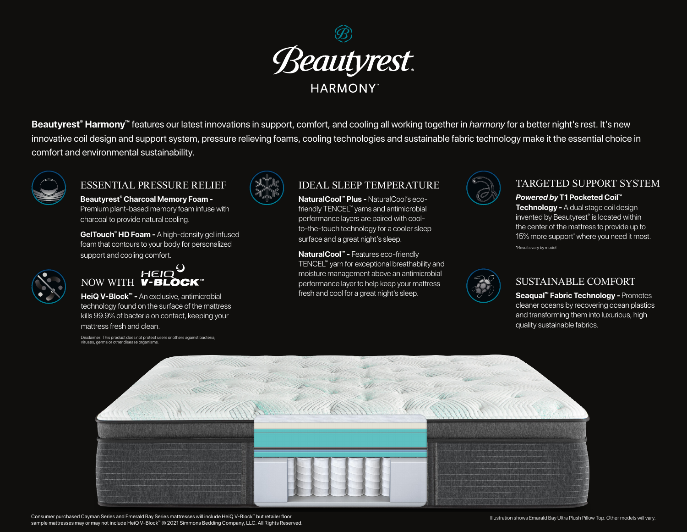

Beautyrest<sup>®</sup> Harmony<sup>™</sup> features our latest innovations in support, comfort, and cooling all working together in *harmony* for a better night's rest. It's new innovative coil design and support system, pressure relieving foams, cooling technologies and sustainable fabric technology make it the essential choice in comfort and environmental sustainability.



## ESSENTIAL PRESSURE RELIEF

**Beautyrest® Charcoal Memory Foam -** Premium plant-based memory foam infuse with charcoal to provide natural cooling.

**GelTouch® HD Foam -** A high-density gel infused foam that contours to your body for personalized support and cooling comfort.



## HEIO **NOW WITH V-BLÒCK**™

**HeiQ V-Block™ -** An exclusive, antimicrobial technology found on the surface of the mattress kills 99.9% of bacteria on contact, keeping your mattress fresh and clean.

Disclaimer: This product does not protect users or others against bacteria, viruses, germs or other disease organisms.



# IDEAL SLEEP TEMPERATURE

**NaturalCool™ Plus -** NaturalCool's ecofriendly TENCEL™ yarns and antimicrobial performance layers are paired with coolto-the-touch technology for a cooler sleep surface and a great night's sleep.

**NaturalCool™ -** Features eco-friendly TENCEL™ yarn for exceptional breathability and moisture management above an antimicrobial performance layer to help keep your mattress fresh and cool for a great night's sleep.



## TARGETED SUPPORT SYSTEM

### *Powered by* **T1 Pocketed Coil™**

**Technology -** A dual stage coil design invented by Beautyrest® is located within the center of the mattress to provide up to 15% more support\* where you need it most. \*Results vary by model



## SUSTAINABLE COMFORT

**Seaqual™ Fabric Technology -** Promotes cleaner oceans by recovering ocean plastics and transforming them into luxurious, high quality sustainable fabrics.